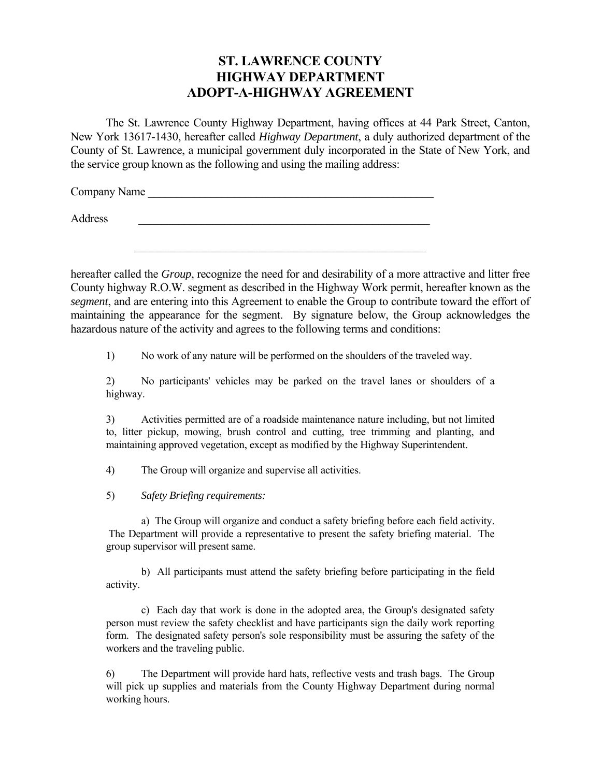## **ST. LAWRENCE COUNTY HIGHWAY DEPARTMENT ADOPT-A-HIGHWAY AGREEMENT**

 The St. Lawrence County Highway Department, having offices at 44 Park Street, Canton, New York 13617-1430, hereafter called *Highway Department*, a duly authorized department of the County of St. Lawrence, a municipal government duly incorporated in the State of New York, and the service group known as the following and using the mailing address:

Company Name

Address \_\_\_\_\_\_\_\_\_\_\_\_\_\_\_\_\_\_\_\_\_\_\_\_\_\_\_\_\_\_\_\_\_\_\_\_\_\_\_\_\_\_\_\_\_\_\_\_\_\_\_

hereafter called the *Group*, recognize the need for and desirability of a more attractive and litter free County highway R.O.W. segment as described in the Highway Work permit, hereafter known as the *segment*, and are entering into this Agreement to enable the Group to contribute toward the effort of maintaining the appearance for the segment. By signature below, the Group acknowledges the hazardous nature of the activity and agrees to the following terms and conditions:

1) No work of any nature will be performed on the shoulders of the traveled way.

2) No participants' vehicles may be parked on the travel lanes or shoulders of a highway.

3) Activities permitted are of a roadside maintenance nature including, but not limited to, litter pickup, mowing, brush control and cutting, tree trimming and planting, and maintaining approved vegetation, except as modified by the Highway Superintendent.

4) The Group will organize and supervise all activities.

5) *Safety Briefing requirements:*

 a) The Group will organize and conduct a safety briefing before each field activity. The Department will provide a representative to present the safety briefing material. The group supervisor will present same.

 b) All participants must attend the safety briefing before participating in the field activity.

 c) Each day that work is done in the adopted area, the Group's designated safety person must review the safety checklist and have participants sign the daily work reporting form. The designated safety person's sole responsibility must be assuring the safety of the workers and the traveling public.

6) The Department will provide hard hats, reflective vests and trash bags. The Group will pick up supplies and materials from the County Highway Department during normal working hours.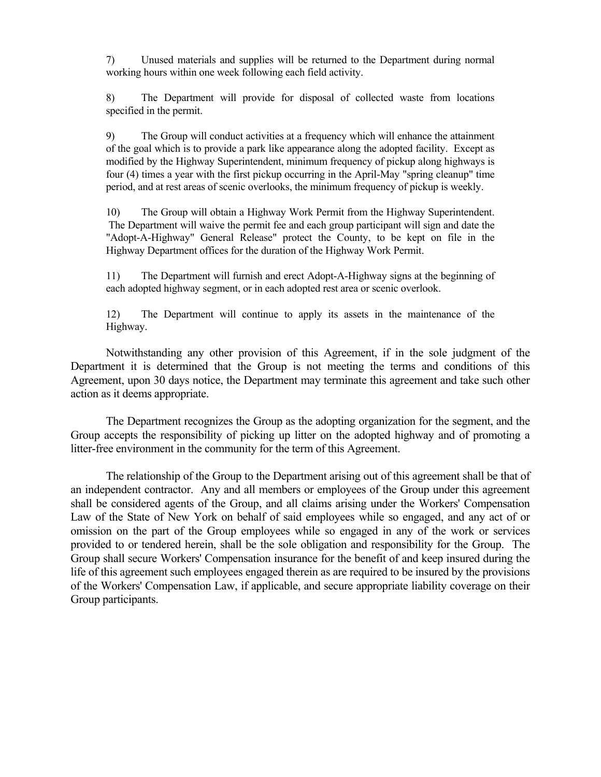7) Unused materials and supplies will be returned to the Department during normal working hours within one week following each field activity.

8) The Department will provide for disposal of collected waste from locations specified in the permit.

9) The Group will conduct activities at a frequency which will enhance the attainment of the goal which is to provide a park like appearance along the adopted facility. Except as modified by the Highway Superintendent, minimum frequency of pickup along highways is four (4) times a year with the first pickup occurring in the April-May "spring cleanup" time period, and at rest areas of scenic overlooks, the minimum frequency of pickup is weekly.

10) The Group will obtain a Highway Work Permit from the Highway Superintendent. The Department will waive the permit fee and each group participant will sign and date the "Adopt-A-Highway" General Release" protect the County, to be kept on file in the Highway Department offices for the duration of the Highway Work Permit.

11) The Department will furnish and erect Adopt-A-Highway signs at the beginning of each adopted highway segment, or in each adopted rest area or scenic overlook.

12) The Department will continue to apply its assets in the maintenance of the Highway.

 Notwithstanding any other provision of this Agreement, if in the sole judgment of the Department it is determined that the Group is not meeting the terms and conditions of this Agreement, upon 30 days notice, the Department may terminate this agreement and take such other action as it deems appropriate.

 The Department recognizes the Group as the adopting organization for the segment, and the Group accepts the responsibility of picking up litter on the adopted highway and of promoting a litter-free environment in the community for the term of this Agreement.

 The relationship of the Group to the Department arising out of this agreement shall be that of an independent contractor. Any and all members or employees of the Group under this agreement shall be considered agents of the Group, and all claims arising under the Workers' Compensation Law of the State of New York on behalf of said employees while so engaged, and any act of or omission on the part of the Group employees while so engaged in any of the work or services provided to or tendered herein, shall be the sole obligation and responsibility for the Group. The Group shall secure Workers' Compensation insurance for the benefit of and keep insured during the life of this agreement such employees engaged therein as are required to be insured by the provisions of the Workers' Compensation Law, if applicable, and secure appropriate liability coverage on their Group participants.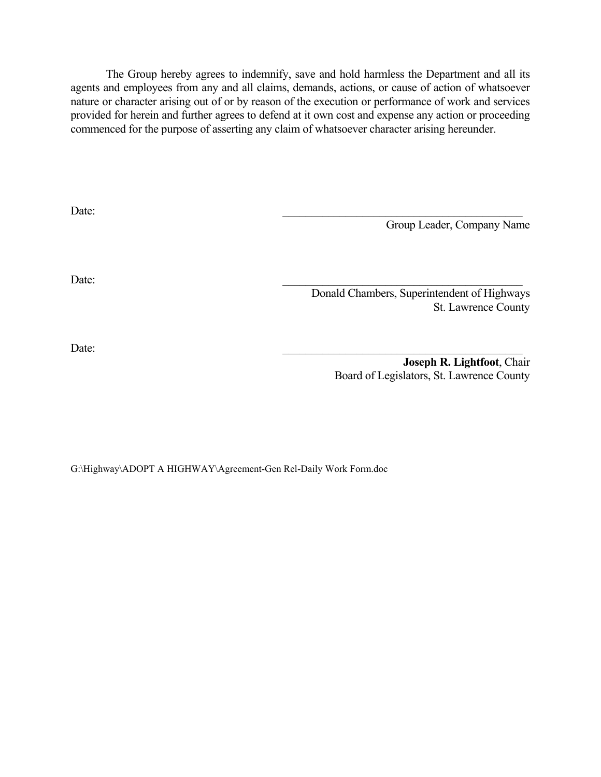The Group hereby agrees to indemnify, save and hold harmless the Department and all its agents and employees from any and all claims, demands, actions, or cause of action of whatsoever nature or character arising out of or by reason of the execution or performance of work and services provided for herein and further agrees to defend at it own cost and expense any action or proceeding commenced for the purpose of asserting any claim of whatsoever character arising hereunder.

| Date: |                                             |
|-------|---------------------------------------------|
|       | Group Leader, Company Name                  |
|       |                                             |
|       |                                             |
|       |                                             |
| Date: |                                             |
|       | Donald Chambers, Superintendent of Highways |
|       | St. Lawrence County                         |
|       |                                             |
|       |                                             |
| Date: |                                             |

 **Joseph R. Lightfoot**, Chair Board of Legislators, St. Lawrence County

G:\Highway\ADOPT A HIGHWAY\Agreement-Gen Rel-Daily Work Form.doc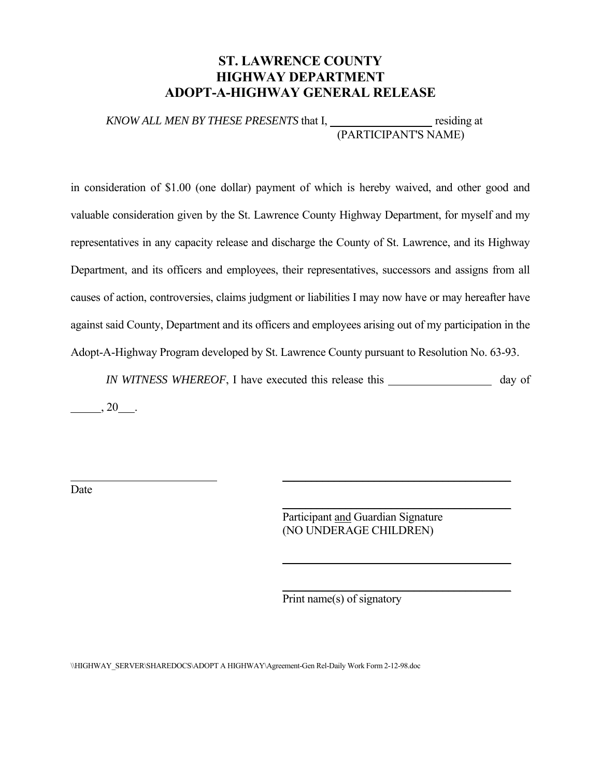## **ST. LAWRENCE COUNTY HIGHWAY DEPARTMENT ADOPT-A-HIGHWAY GENERAL RELEASE**

*KNOW ALL MEN BY THESE PRESENTS* that I, residing at (PARTICIPANT'S NAME)

in consideration of \$1.00 (one dollar) payment of which is hereby waived, and other good and valuable consideration given by the St. Lawrence County Highway Department, for myself and my representatives in any capacity release and discharge the County of St. Lawrence, and its Highway Department, and its officers and employees, their representatives, successors and assigns from all causes of action, controversies, claims judgment or liabilities I may now have or may hereafter have against said County, Department and its officers and employees arising out of my participation in the Adopt-A-Highway Program developed by St. Lawrence County pursuant to Resolution No. 63-93.

*IN WITNESS WHEREOF*, I have executed this release this day of  $\_\_\_$ , 20 $\_\_\_$ .

\_\_\_\_\_\_\_\_\_\_\_\_\_\_\_\_\_\_\_\_\_\_\_\_\_\_\_\_\_\_\_\_\_\_\_\_\_\_\_\_

 $\overline{\phantom{a}}$  , and the contract of the contract of the contract of the contract of the contract of the contract of the contract of the contract of the contract of the contract of the contract of the contract of the contrac

**\_\_\_\_\_\_\_\_\_\_\_\_\_\_\_\_\_\_\_\_\_\_\_\_\_\_\_\_\_\_\_\_\_\_\_\_\_\_\_\_**

 $\frac{1}{\sqrt{2}}$  , and the contract of  $\frac{1}{\sqrt{2}}$  , and the contract of  $\frac{1}{\sqrt{2}}$  , and  $\frac{1}{\sqrt{2}}$ 

Date

 Participant and Guardian Signature (NO UNDERAGE CHILDREN)

Print name(s) of signatory

\\HIGHWAY\_SERVER\SHAREDOCS\ADOPT A HIGHWAY\Agreement-Gen Rel-Daily Work Form 2-12-98.doc